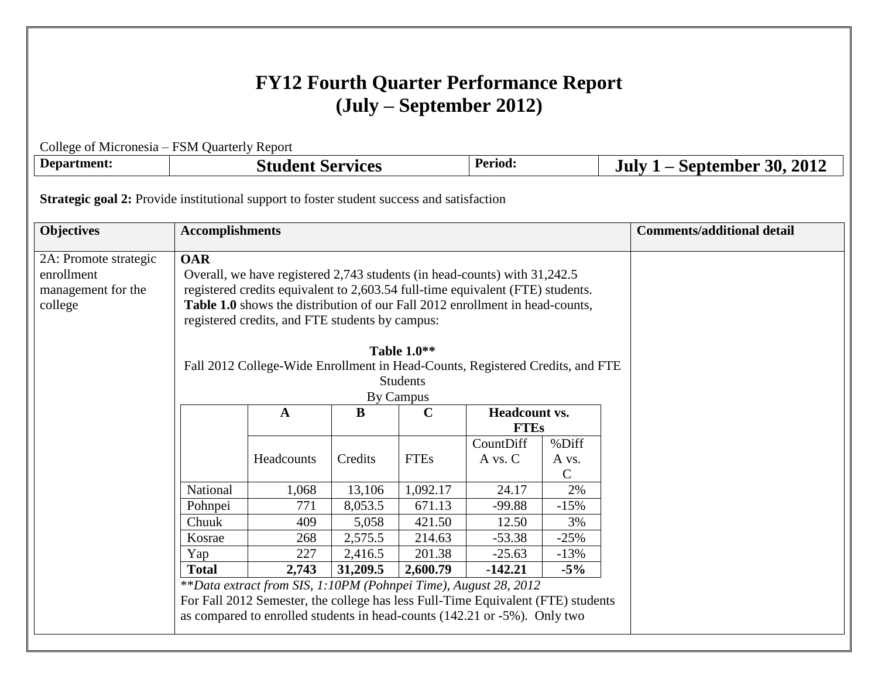# **FY12 Fourth Quarter Performance Report (July – September 2012)**

| College of Micronesia – FSM Quarterly Report                                                                                                                                                                                                                                                                                                                                                                                                                                                                                |                                                                      |                                                                                                                                                                                                                                  |         |             |                      |                                  |  |                                   |
|-----------------------------------------------------------------------------------------------------------------------------------------------------------------------------------------------------------------------------------------------------------------------------------------------------------------------------------------------------------------------------------------------------------------------------------------------------------------------------------------------------------------------------|----------------------------------------------------------------------|----------------------------------------------------------------------------------------------------------------------------------------------------------------------------------------------------------------------------------|---------|-------------|----------------------|----------------------------------|--|-----------------------------------|
| Department:                                                                                                                                                                                                                                                                                                                                                                                                                                                                                                                 |                                                                      | Period:<br><b>Student Services</b>                                                                                                                                                                                               |         |             |                      |                                  |  | July $1$ – September 30, 2012     |
| <b>Strategic goal 2:</b> Provide institutional support to foster student success and satisfaction                                                                                                                                                                                                                                                                                                                                                                                                                           |                                                                      |                                                                                                                                                                                                                                  |         |             |                      |                                  |  |                                   |
| <b>Objectives</b>                                                                                                                                                                                                                                                                                                                                                                                                                                                                                                           | <b>Accomplishments</b>                                               |                                                                                                                                                                                                                                  |         |             |                      |                                  |  | <b>Comments/additional detail</b> |
| <b>OAR</b><br>2A: Promote strategic<br>enrollment<br>Overall, we have registered 2,743 students (in head-counts) with 31,242.5<br>management for the<br>registered credits equivalent to 2,603.54 full-time equivalent (FTE) students.<br>Table 1.0 shows the distribution of our Fall 2012 enrollment in head-counts,<br>college<br>registered credits, and FTE students by campus:<br><b>Table 1.0**</b><br>Fall 2012 College-Wide Enrollment in Head-Counts, Registered Credits, and FTE<br><b>Students</b><br>By Campus |                                                                      |                                                                                                                                                                                                                                  |         |             |                      |                                  |  |                                   |
|                                                                                                                                                                                                                                                                                                                                                                                                                                                                                                                             |                                                                      | $\bf{B}$<br>$\mathbf C$<br><b>Headcount vs.</b><br>$\mathbf{A}$<br><b>FTEs</b>                                                                                                                                                   |         |             |                      |                                  |  |                                   |
|                                                                                                                                                                                                                                                                                                                                                                                                                                                                                                                             |                                                                      | Headcounts                                                                                                                                                                                                                       | Credits | <b>FTEs</b> | CountDiff<br>A vs. C | %Diff<br>A vs.<br>$\overline{C}$ |  |                                   |
|                                                                                                                                                                                                                                                                                                                                                                                                                                                                                                                             | National                                                             | 1,068                                                                                                                                                                                                                            | 13,106  | 1,092.17    | 24.17                | 2%                               |  |                                   |
|                                                                                                                                                                                                                                                                                                                                                                                                                                                                                                                             | Pohnpei                                                              | 771                                                                                                                                                                                                                              | 8,053.5 | 671.13      | $-99.88$             | $-15%$                           |  |                                   |
|                                                                                                                                                                                                                                                                                                                                                                                                                                                                                                                             | Chuuk                                                                | 409                                                                                                                                                                                                                              | 5,058   | 421.50      | 12.50                | 3%                               |  |                                   |
|                                                                                                                                                                                                                                                                                                                                                                                                                                                                                                                             | 214.63<br>$-25%$<br>Kosrae<br>268<br>2,575.5<br>$-53.38$             |                                                                                                                                                                                                                                  |         |             |                      |                                  |  |                                   |
|                                                                                                                                                                                                                                                                                                                                                                                                                                                                                                                             | Yap                                                                  | 227                                                                                                                                                                                                                              | 2,416.5 | 201.38      | $-25.63$             | $-13%$                           |  |                                   |
|                                                                                                                                                                                                                                                                                                                                                                                                                                                                                                                             | 31,209.5<br>2,600.79<br>$-5\%$<br>$-142.21$<br><b>Total</b><br>2,743 |                                                                                                                                                                                                                                  |         |             |                      |                                  |  |                                   |
|                                                                                                                                                                                                                                                                                                                                                                                                                                                                                                                             |                                                                      | **Data extract from SIS, 1:10PM (Pohnpei Time), August 28, 2012<br>For Fall 2012 Semester, the college has less Full-Time Equivalent (FTE) students<br>as compared to enrolled students in head-counts (142.21 or -5%). Only two |         |             |                      |                                  |  |                                   |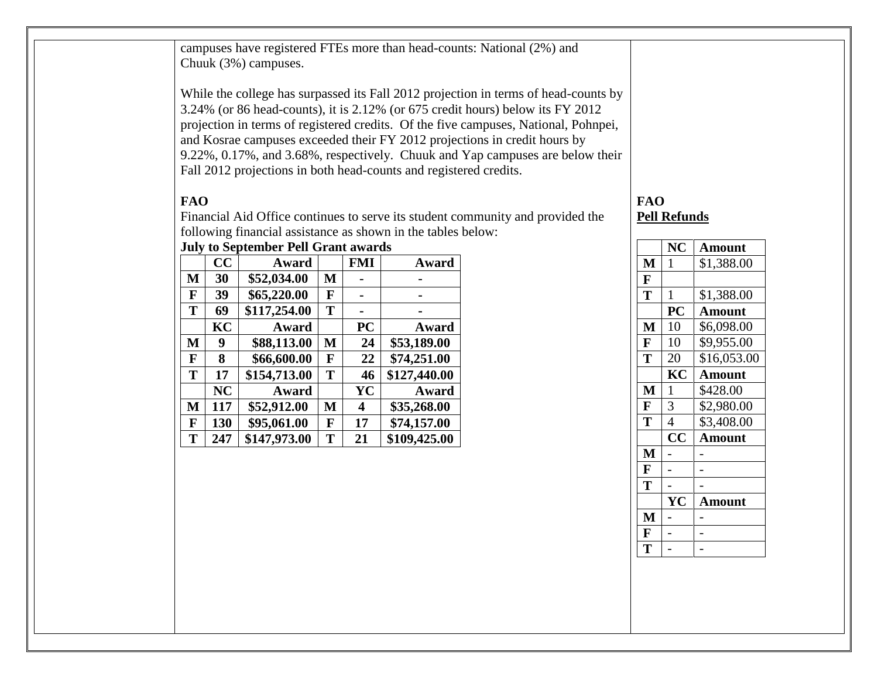campuses have registered FTEs more than head-counts: National (2%) and Chuuk (3%) campuses.

While the college has surpassed its Fall 2012 projection in terms of head-counts by 3.24% (or 86 head-counts), it is 2.12% (or 675 credit hours) below its FY 2012 projection in terms of registered credits. Of the five campuses, National, Pohnpei, and Kosrae campuses exceeded their FY 2012 projections in credit hours by 9.22%, 0.17%, and 3.68%, respectively. Chuuk and Yap campuses are below their Fall 2012 projections in both head-counts and registered credits.

#### **FAO**

Financial Aid Office continues to serve its student community and provided the following financial assistance as shown in the tables below:

## **July to September Pell Grant awards CC Award FMI Award M 30 \$52,034.00 M - -**

| M | 30  | \$52,034.00  | M |           |              |
|---|-----|--------------|---|-----------|--------------|
| F | 39  | \$65,220.00  | F |           |              |
| T | 69  | \$117,254.00 | T |           |              |
|   | KC  | Award        |   | <b>PC</b> | Award        |
| M | 9   | \$88,113.00  | M | 24        | \$53,189.00  |
| F | 8   | \$66,600.00  | F | 22        | \$74,251.00  |
| T | 17  | \$154,713.00 | T | 46        | \$127,440.00 |
|   | NC  | Award        |   | YC        | Award        |
| M | 117 | \$52,912.00  | M | 4         | \$35,268.00  |
| F | 130 | \$95,061.00  | F | 17        | \$74,157.00  |
| T | 247 | \$147,973.00 | T | 21        | \$109,425.00 |

# **FAO Pell Refunds**

|   | NC                      | Amount        |
|---|-------------------------|---------------|
| M | 1                       | \$1,388.00    |
| F |                         |               |
| T | $\mathbf{1}$            | \$1,388.00    |
|   | PC                      | <b>Amount</b> |
| M | 10                      | \$6,098.00    |
| F | 10                      | \$9,955.00    |
| T | 20                      | \$16,053.00   |
|   | KC                      | <b>Amount</b> |
| M | $\mathbf{1}$            | \$428.00      |
| F | 3                       | \$2,980.00    |
| T | 4                       | \$3,408.00    |
|   | $\overline{\mathbf{C}}$ | <b>Amount</b> |
| M |                         |               |
| F |                         |               |
| T |                         |               |
|   | YC                      | <b>Amount</b> |
| M |                         |               |
| F |                         |               |
| т |                         |               |
|   |                         |               |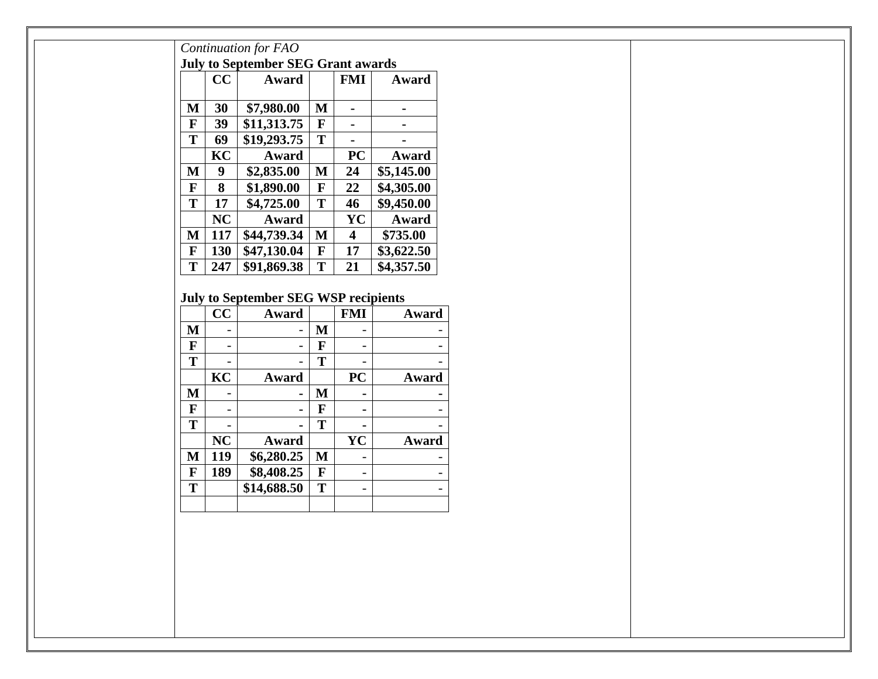|              | CC                       | Award                                       |              | <b>FMI</b>               | Award                    |
|--------------|--------------------------|---------------------------------------------|--------------|--------------------------|--------------------------|
| $\mathbf M$  | 30                       | \$7,980.00                                  | $\mathbf M$  | $\blacksquare$           | $\blacksquare$           |
| $\mathbf F$  | 39                       | \$11,313.75                                 | $\mathbf{F}$ | $\blacksquare$           | $\blacksquare$           |
| T            | 69                       | \$19,293.75                                 | T            | $\blacksquare$           | $\blacksquare$           |
|              | KC                       | Award                                       |              | <b>PC</b>                | Award                    |
| $\mathbf{M}$ | $\boldsymbol{9}$         | \$2,835.00                                  | $\mathbf{M}$ | 24                       | \$5,145.00               |
| $\mathbf{F}$ | 8                        | \$1,890.00                                  | $\mathbf F$  | 22                       | \$4,305.00               |
| T            | 17                       | \$4,725.00                                  | T            | 46                       | \$9,450.00               |
|              | NC                       | Award                                       |              | YC                       | Award                    |
| $\mathbf M$  | <b>117</b>               | \$44,739.34                                 | $\mathbf{M}$ | $\overline{\mathbf{4}}$  | \$735.00                 |
| $\mathbf F$  | <b>130</b>               | \$47,130.04                                 | $\mathbf{F}$ | 17                       | \$3,622.50               |
| $\mathbf T$  | 247                      | \$91,869.38                                 | T            | 21                       | \$4,357.50               |
|              |                          | <b>July to September SEG WSP recipients</b> |              |                          |                          |
|              | CC                       | Award                                       |              | <b>FMI</b>               | Award                    |
| $\mathbf{M}$ | $\overline{\phantom{a}}$ | $\overline{\phantom{0}}$                    | $\mathbf M$  | $\overline{\phantom{0}}$ |                          |
| $\mathbf F$  | $\overline{\phantom{a}}$ |                                             | $\mathbf F$  | $\qquad \qquad -$        |                          |
| T            |                          |                                             | T            |                          |                          |
|              | KC                       | Award                                       |              | <b>PC</b>                | Award                    |
| $\mathbf{M}$ | $\overline{\phantom{a}}$ | $\blacksquare$                              | $\mathbf{M}$ | $\blacksquare$           |                          |
| $\mathbf F$  | $\overline{\phantom{a}}$ | $\blacksquare$                              | $\mathbf{F}$ | $\blacksquare$           |                          |
| T            |                          |                                             | T            |                          |                          |
|              | NC                       | Award                                       |              | <b>YC</b>                | Award                    |
| $\mathbf M$  | 119                      | \$6,280.25                                  | $\mathbf{M}$ | $\overline{\phantom{a}}$ |                          |
| $\mathbf F$  | 189                      | \$8,408.25                                  | $\mathbf F$  | $\overline{\phantom{a}}$ | $\overline{\phantom{a}}$ |
| $\mathbf T$  |                          | \$14,688.50                                 | T            | $\overline{\phantom{a}}$ | $\overline{\phantom{a}}$ |
|              |                          |                                             |              |                          |                          |
|              |                          |                                             |              |                          |                          |
|              |                          |                                             |              |                          |                          |
|              |                          |                                             |              |                          |                          |
|              |                          |                                             |              |                          |                          |
|              |                          |                                             |              |                          |                          |
|              |                          |                                             |              |                          |                          |
|              |                          |                                             |              |                          |                          |
|              |                          |                                             |              |                          |                          |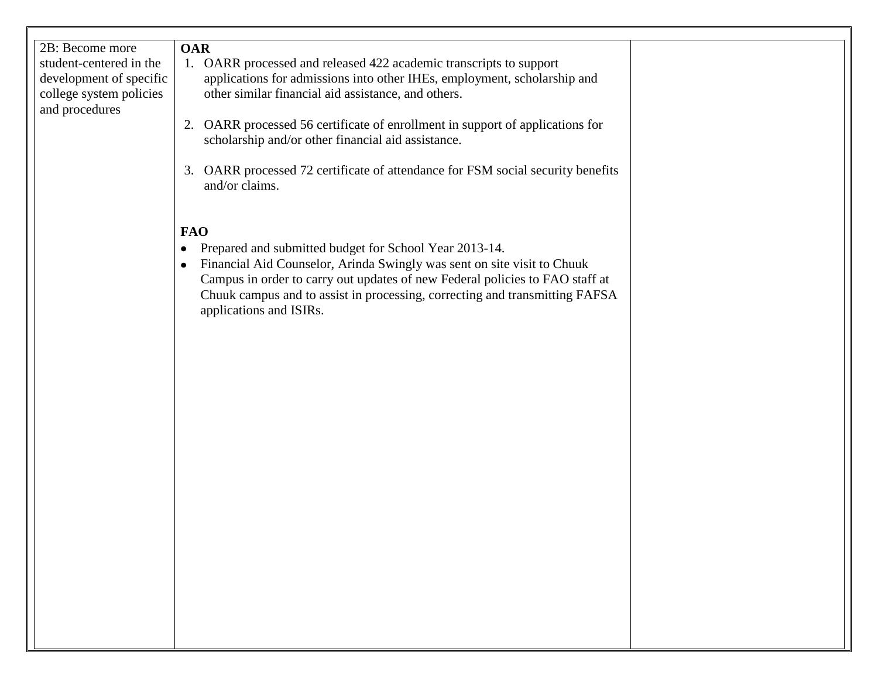| 2B: Become more<br>student-centered in the<br>development of specific<br>college system policies<br>and procedures | <b>OAR</b><br>1. OARR processed and released 422 academic transcripts to support<br>applications for admissions into other IHEs, employment, scholarship and<br>other similar financial aid assistance, and others.<br>2. OARR processed 56 certificate of enrollment in support of applications for<br>scholarship and/or other financial aid assistance.<br>3. OARR processed 72 certificate of attendance for FSM social security benefits<br>and/or claims. |  |
|--------------------------------------------------------------------------------------------------------------------|-----------------------------------------------------------------------------------------------------------------------------------------------------------------------------------------------------------------------------------------------------------------------------------------------------------------------------------------------------------------------------------------------------------------------------------------------------------------|--|
|                                                                                                                    | <b>FAO</b><br>Prepared and submitted budget for School Year 2013-14.<br>$\bullet$<br>Financial Aid Counselor, Arinda Swingly was sent on site visit to Chuuk<br>Campus in order to carry out updates of new Federal policies to FAO staff at<br>Chuuk campus and to assist in processing, correcting and transmitting FAFSA<br>applications and ISIRs.                                                                                                          |  |
|                                                                                                                    |                                                                                                                                                                                                                                                                                                                                                                                                                                                                 |  |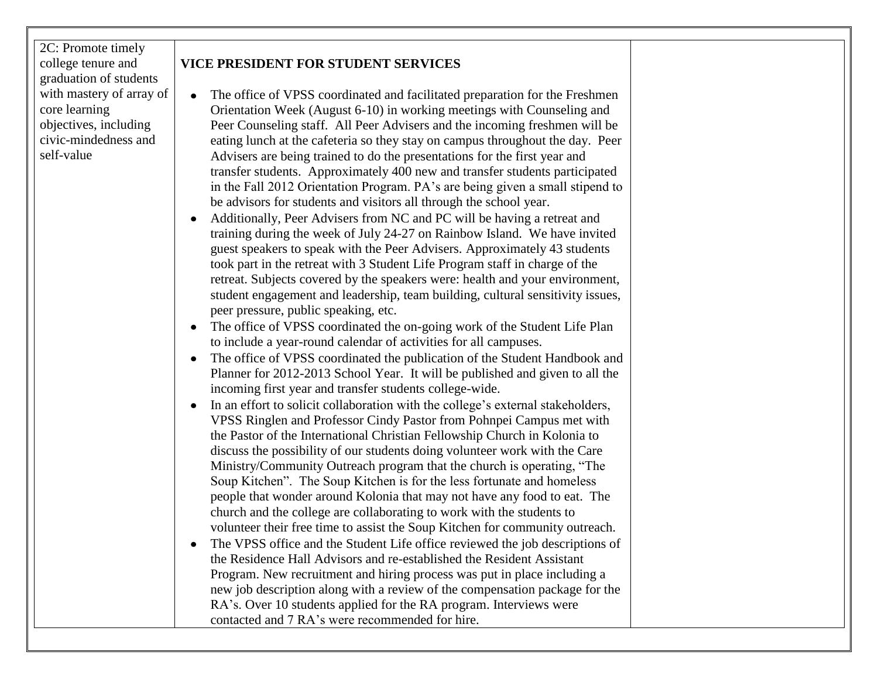2C: Promote timely college tenure and graduation of students with mastery of array of core learning objectives, including civic-mindedness and self-value

# **VICE PRESIDENT FOR STUDENT SERVICES**

- The office of VPSS coordinated and facilitated preparation for the Freshmen Orientation Week (August 6-10) in working meetings with Counseling and Peer Counseling staff. All Peer Advisers and the incoming freshmen will be eating lunch at the cafeteria so they stay on campus throughout the day. Peer Advisers are being trained to do the presentations for the first year and transfer students. Approximately 400 new and transfer students participated in the Fall 2012 Orientation Program. PA's are being given a small stipend to be advisors for students and visitors all through the school year.
- Additionally, Peer Advisers from NC and PC will be having a retreat and training during the week of July 24-27 on Rainbow Island. We have invited guest speakers to speak with the Peer Advisers. Approximately 43 students took part in the retreat with 3 Student Life Program staff in charge of the retreat. Subjects covered by the speakers were: health and your environment, student engagement and leadership, team building, cultural sensitivity issues, peer pressure, public speaking, etc.
- The office of VPSS coordinated the on-going work of the Student Life Plan to include a year-round calendar of activities for all campuses.
- The office of VPSS coordinated the publication of the Student Handbook and Planner for 2012-2013 School Year. It will be published and given to all the incoming first year and transfer students college-wide.
- In an effort to solicit collaboration with the college's external stakeholders, VPSS Ringlen and Professor Cindy Pastor from Pohnpei Campus met with the Pastor of the International Christian Fellowship Church in Kolonia to discuss the possibility of our students doing volunteer work with the Care Ministry/Community Outreach program that the church is operating, "The Soup Kitchen". The Soup Kitchen is for the less fortunate and homeless people that wonder around Kolonia that may not have any food to eat. The church and the college are collaborating to work with the students to volunteer their free time to assist the Soup Kitchen for community outreach.
- The VPSS office and the Student Life office reviewed the job descriptions of the Residence Hall Advisors and re-established the Resident Assistant Program. New recruitment and hiring process was put in place including a new job description along with a review of the compensation package for the RA's. Over 10 students applied for the RA program. Interviews were contacted and 7 RA's were recommended for hire.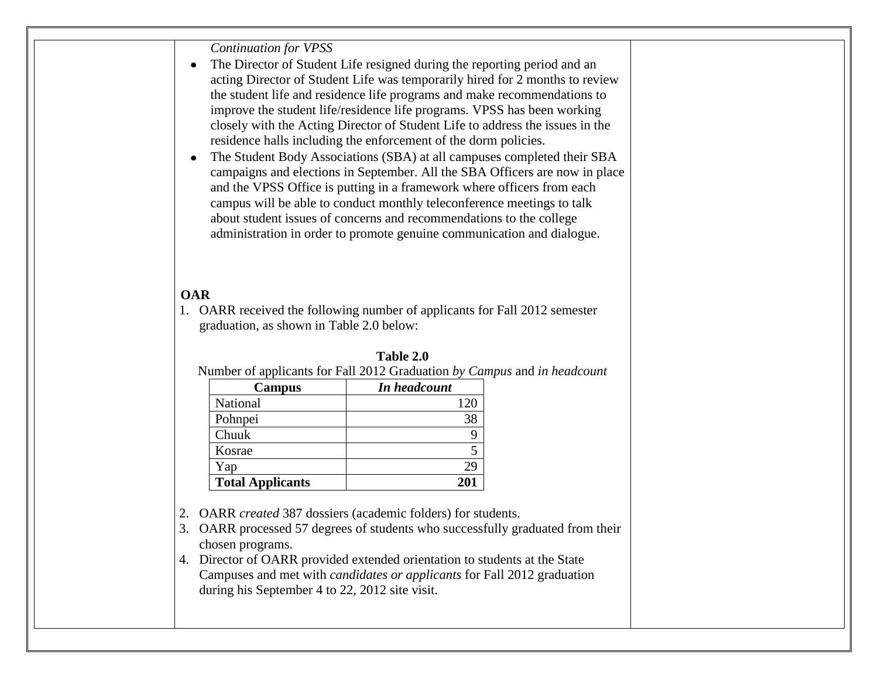*Continuation for VPSS*

- The Director of Student Life resigned during the reporting period and an  $\bullet$ acting Director of Student Life was temporarily hired for 2 months to review the student life and residence life programs and make recommendations to improve the student life/residence life programs. VPSS has been working closely with the Acting Director of Student Life to address the issues in the residence halls including the enforcement of the dorm policies.
- The Student Body Associations (SBA) at all campuses completed their SBA campaigns and elections in September. All the SBA Officers are now in place and the VPSS Office is putting in a framework where officers from each campus will be able to conduct monthly teleconference meetings to talk about student issues of concerns and recommendations to the college administration in order to promote genuine communication and dialogue.

#### **OAR**

1. OARR received the following number of applicants for Fall 2012 semester graduation, as shown in Table 2.0 below:

|                         | Number of applicants for Fall 2012 Graduation by Can |
|-------------------------|------------------------------------------------------|
| Campus                  | In headcount                                         |
| National                | 120                                                  |
| Pohnpei                 | 38                                                   |
| Chuuk                   |                                                      |
| Kosrae                  |                                                      |
| Yap                     | 29                                                   |
| <b>Total Applicants</b> | 201                                                  |

| Table 2.0 |  |
|-----------|--|
|-----------|--|

Number of applicants for Fall 2012 Graduation *by Campus* and *in headcount*

2. OARR *created* 387 dossiers (academic folders) for students.

3. OARR processed 57 degrees of students who successfully graduated from their chosen programs.

4. Director of OARR provided extended orientation to students at the State Campuses and met with *candidates or applicants* for Fall 2012 graduation during his September 4 to 22, 2012 site visit.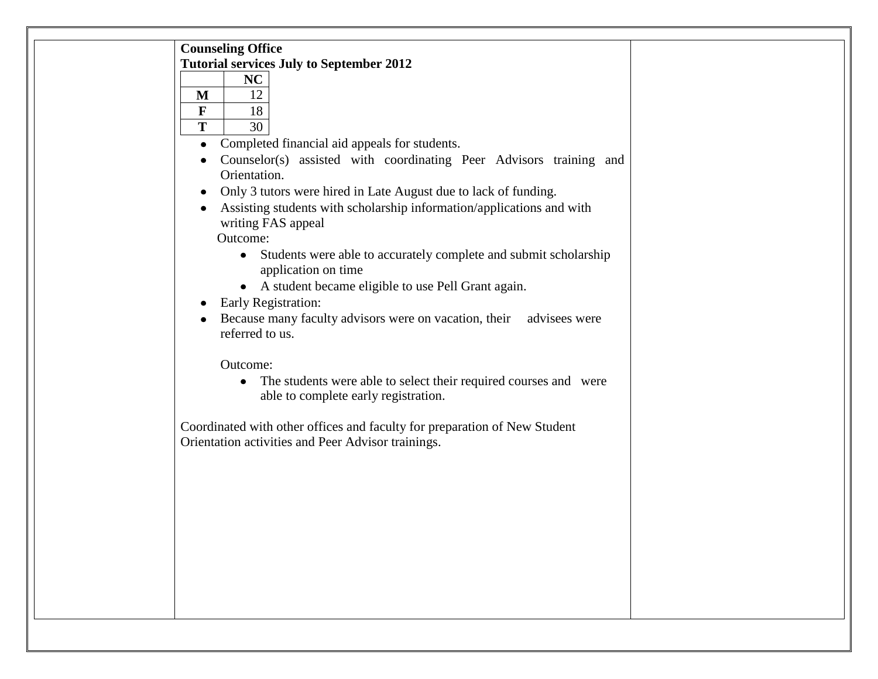| <b>Counseling Office</b>                                                                             |  |
|------------------------------------------------------------------------------------------------------|--|
| <b>Tutorial services July to September 2012</b>                                                      |  |
| NC                                                                                                   |  |
| 12<br>M                                                                                              |  |
| $\mathbf F$<br>18                                                                                    |  |
| T<br>30                                                                                              |  |
| Completed financial aid appeals for students.<br>$\bullet$                                           |  |
| Counselor(s) assisted with coordinating Peer Advisors training and                                   |  |
| Orientation.                                                                                         |  |
| Only 3 tutors were hired in Late August due to lack of funding.                                      |  |
| Assisting students with scholarship information/applications and with                                |  |
| writing FAS appeal                                                                                   |  |
| Outcome:                                                                                             |  |
| Students were able to accurately complete and submit scholarship<br>$\bullet$<br>application on time |  |
| A student became eligible to use Pell Grant again.<br>$\bullet$                                      |  |
| Early Registration:                                                                                  |  |
| Because many faculty advisors were on vacation, their advisees were                                  |  |
| referred to us.                                                                                      |  |
|                                                                                                      |  |
| Outcome:                                                                                             |  |
| The students were able to select their required courses and were<br>$\bullet$                        |  |
| able to complete early registration.                                                                 |  |
|                                                                                                      |  |
| Coordinated with other offices and faculty for preparation of New Student                            |  |
| Orientation activities and Peer Advisor trainings.                                                   |  |
|                                                                                                      |  |
|                                                                                                      |  |
|                                                                                                      |  |
|                                                                                                      |  |
|                                                                                                      |  |
|                                                                                                      |  |
|                                                                                                      |  |
|                                                                                                      |  |
|                                                                                                      |  |
|                                                                                                      |  |
|                                                                                                      |  |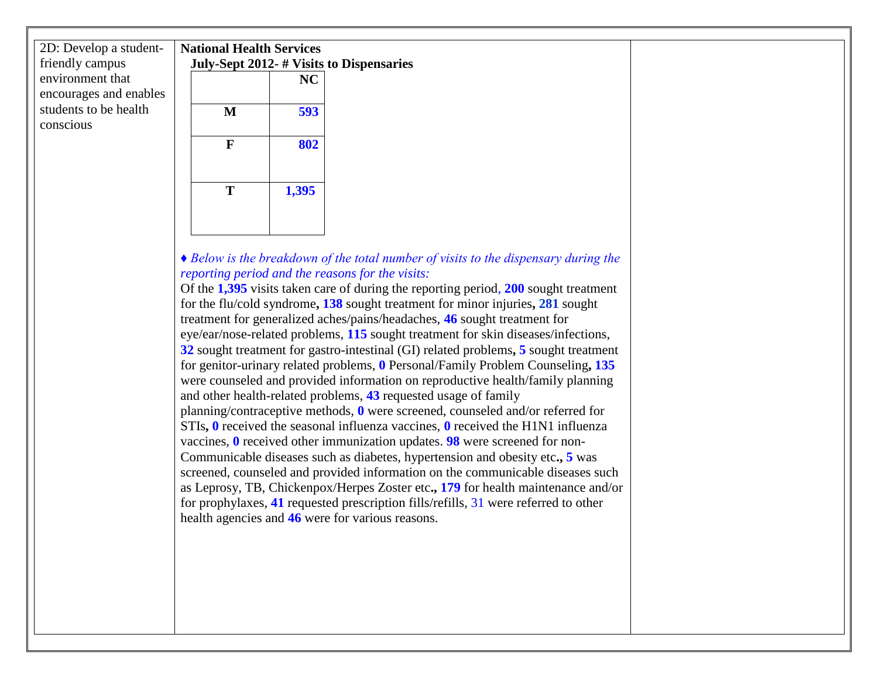| 2D: Develop a student-<br>friendly campus  | <b>National Health Services</b> |           | July-Sept 2012- # Visits to Dispensaries |
|--------------------------------------------|---------------------------------|-----------|------------------------------------------|
| environment that<br>encourages and enables |                                 | <b>NC</b> |                                          |
| students to be health<br>conscious         | M                               | 593       |                                          |
|                                            | F                               | 802       |                                          |
|                                            | т                               | 1,395     |                                          |

#### *♦ Below is the breakdown of the total number of visits to the dispensary during the reporting period and the reasons for the visits:*

Of the **1,395** visits taken care of during the reporting period, **200** sought treatment for the flu/cold syndrome**, 138** sought treatment for minor injuries**, 281** sought treatment for generalized aches/pains/headaches, **46** sought treatment for eye/ear/nose-related problems, **115** sought treatment for skin diseases/infections, **32** sought treatment for gastro-intestinal (GI) related problems**, 5** sought treatment for genitor-urinary related problems, **0** Personal/Family Problem Counseling**, 135**  were counseled and provided information on reproductive health/family planning and other health-related problems, **43** requested usage of family planning/contraceptive methods, **0** were screened, counseled and/or referred for STIs**, 0** received the seasonal influenza vaccines, **0** received the H1N1 influenza vaccines, **0** received other immunization updates. **98** were screened for non-Communicable diseases such as diabetes, hypertension and obesity etc**., 5** was screened, counseled and provided information on the communicable diseases such as Leprosy, TB, Chickenpox/Herpes Zoster etc**., 179** for health maintenance and/or for prophylaxes, **41** requested prescription fills/refills, 31 were referred to other health agencies and **46** were for various reasons.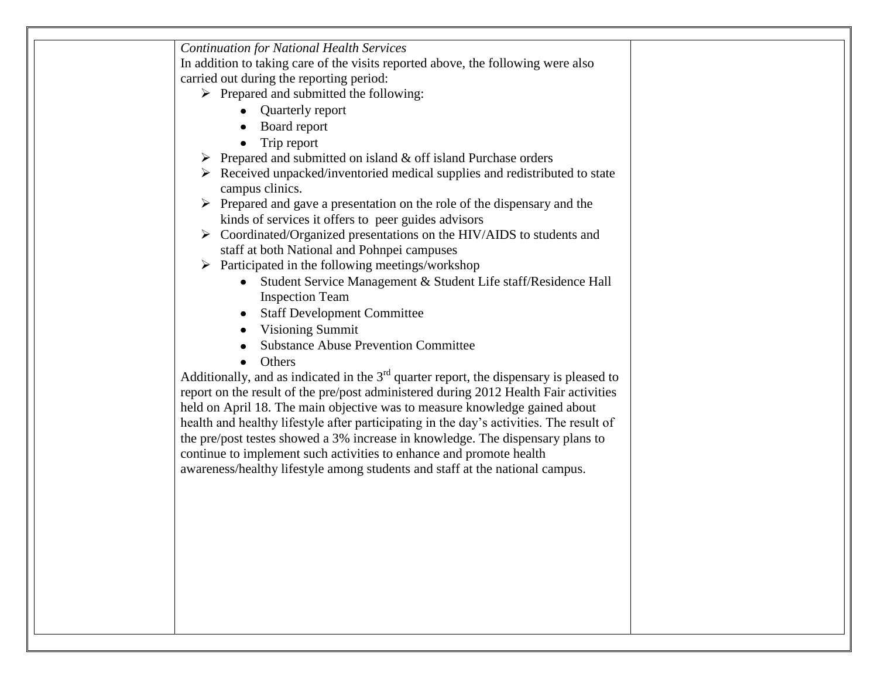| <b>Continuation for National Health Services</b>                                                              |
|---------------------------------------------------------------------------------------------------------------|
| In addition to taking care of the visits reported above, the following were also                              |
| carried out during the reporting period:                                                                      |
| $\triangleright$ Prepared and submitted the following:                                                        |
| <b>Quarterly report</b>                                                                                       |
| Board report                                                                                                  |
| Trip report                                                                                                   |
| Prepared and submitted on island & off island Purchase orders                                                 |
| $\triangleright$ Received unpacked/inventoried medical supplies and redistributed to state<br>campus clinics. |
| $\triangleright$ Prepared and gave a presentation on the role of the dispensary and the                       |
| kinds of services it offers to peer guides advisors                                                           |
| > Coordinated/Organized presentations on the HIV/AIDS to students and                                         |
| staff at both National and Pohnpei campuses                                                                   |
| $\triangleright$ Participated in the following meetings/workshop                                              |
| • Student Service Management & Student Life staff/Residence Hall                                              |
| <b>Inspection Team</b>                                                                                        |
| <b>Staff Development Committee</b>                                                                            |
| <b>Visioning Summit</b><br>$\bullet$                                                                          |
| <b>Substance Abuse Prevention Committee</b>                                                                   |
| Others                                                                                                        |
| Additionally, and as indicated in the $3rd$ quarter report, the dispensary is pleased to                      |
| report on the result of the pre/post administered during 2012 Health Fair activities                          |
| held on April 18. The main objective was to measure knowledge gained about                                    |
| health and healthy lifestyle after participating in the day's activities. The result of                       |
| the pre/post testes showed a 3% increase in knowledge. The dispensary plans to                                |
| continue to implement such activities to enhance and promote health                                           |
| awareness/healthy lifestyle among students and staff at the national campus.                                  |
|                                                                                                               |
|                                                                                                               |
|                                                                                                               |
|                                                                                                               |
|                                                                                                               |
|                                                                                                               |
|                                                                                                               |
|                                                                                                               |
|                                                                                                               |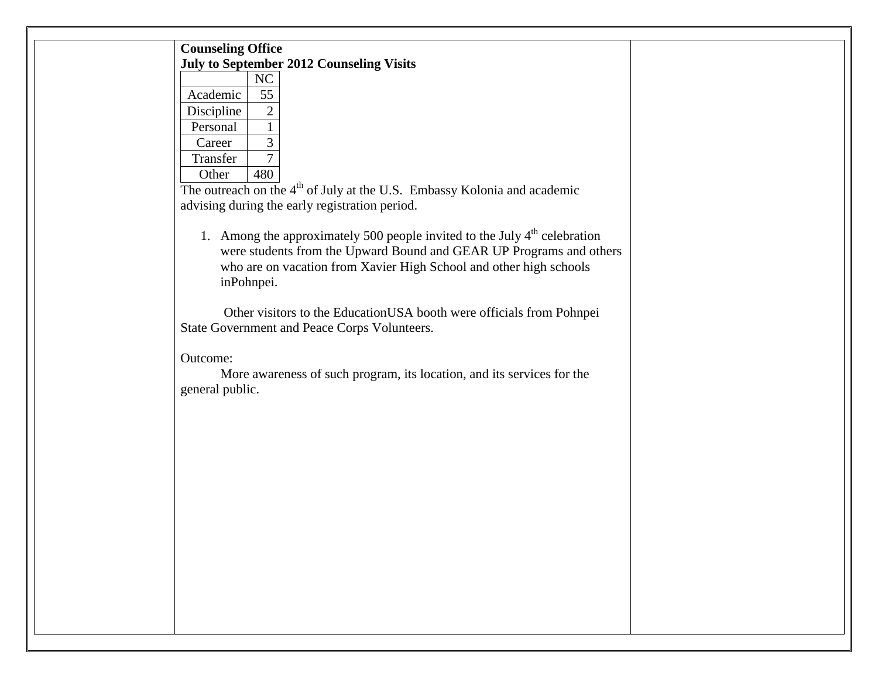| <b>Counseling Office</b> |                |                                                 |  |
|--------------------------|----------------|-------------------------------------------------|--|
|                          |                | <b>July to September 2012 Counseling Visits</b> |  |
|                          | N <sub>C</sub> |                                                 |  |
| Academic                 | 55             |                                                 |  |
| Discipline               | 2              |                                                 |  |
| Personal                 |                |                                                 |  |
| Career                   | 3              |                                                 |  |
| Transfer                 |                |                                                 |  |
| Other                    |                | $\cdot$ 1                                       |  |

The outreach on the 4<sup>th</sup> of July at the U.S. Embassy Kolonia and academic advising during the early registration period.

1. Among the approximately 500 people invited to the July  $4<sup>th</sup>$  celebration were students from the Upward Bound and GEAR UP Programs and others who are on vacation from Xavier High School and other high schools inPohnpei.

 Other visitors to the EducationUSA booth were officials from Pohnpei State Government and Peace Corps Volunteers.

Outcome:

More awareness of such program, its location, and its services for the general public.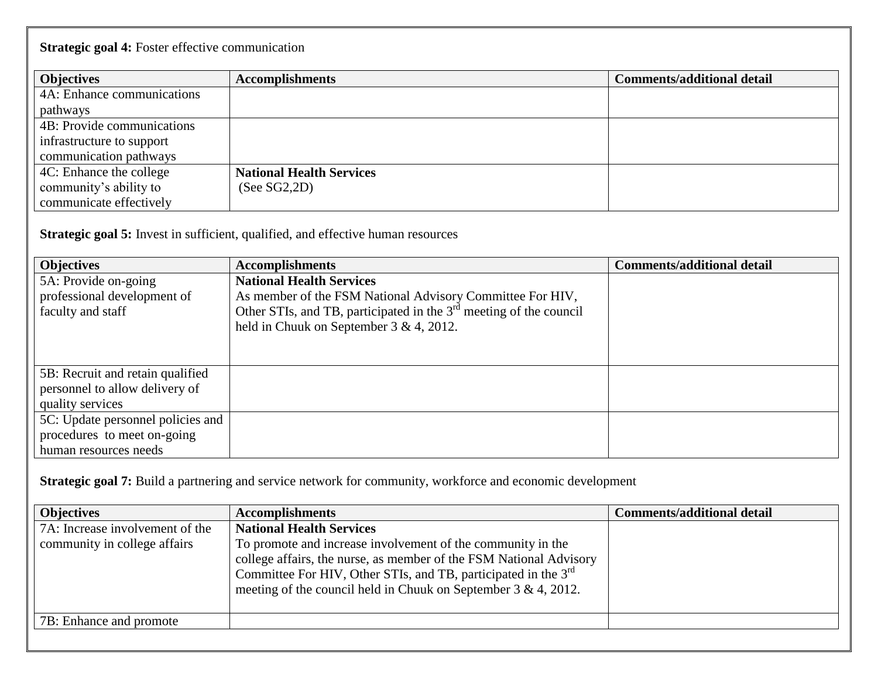# **Strategic goal 4:** Foster effective communication

| <b>Objectives</b>          | <b>Accomplishments</b>          | <b>Comments/additional detail</b> |
|----------------------------|---------------------------------|-----------------------------------|
| 4A: Enhance communications |                                 |                                   |
| pathways                   |                                 |                                   |
| 4B: Provide communications |                                 |                                   |
| infrastructure to support  |                                 |                                   |
| communication pathways     |                                 |                                   |
| 4C: Enhance the college    | <b>National Health Services</b> |                                   |
| community's ability to     | (See SG2, 2D)                   |                                   |
| communicate effectively    |                                 |                                   |

**Strategic goal 5:** Invest in sufficient, qualified, and effective human resources

| <b>Objectives</b>                 | <b>Accomplishments</b>                                               | <b>Comments/additional detail</b> |
|-----------------------------------|----------------------------------------------------------------------|-----------------------------------|
| 5A: Provide on-going              | <b>National Health Services</b>                                      |                                   |
| professional development of       | As member of the FSM National Advisory Committee For HIV,            |                                   |
| faculty and staff                 | Other STIs, and TB, participated in the $3rd$ meeting of the council |                                   |
|                                   | held in Chuuk on September 3 & 4, 2012.                              |                                   |
|                                   |                                                                      |                                   |
|                                   |                                                                      |                                   |
| 5B: Recruit and retain qualified  |                                                                      |                                   |
| personnel to allow delivery of    |                                                                      |                                   |
| quality services                  |                                                                      |                                   |
| 5C: Update personnel policies and |                                                                      |                                   |
| procedures to meet on-going       |                                                                      |                                   |
| human resources needs             |                                                                      |                                   |

**Strategic goal 7:** Build a partnering and service network for community, workforce and economic development

| <b>Objectives</b>                                               | <b>Accomplishments</b>                                                                                                                                                                                                                                                                                                   | <b>Comments/additional detail</b> |
|-----------------------------------------------------------------|--------------------------------------------------------------------------------------------------------------------------------------------------------------------------------------------------------------------------------------------------------------------------------------------------------------------------|-----------------------------------|
| 7A: Increase involvement of the<br>community in college affairs | <b>National Health Services</b><br>To promote and increase involvement of the community in the<br>college affairs, the nurse, as member of the FSM National Advisory<br>Committee For HIV, Other STIs, and TB, participated in the 3 <sup>rd</sup><br>meeting of the council held in Chuuk on September $3 \& 4$ , 2012. |                                   |
| 7B: Enhance and promote                                         |                                                                                                                                                                                                                                                                                                                          |                                   |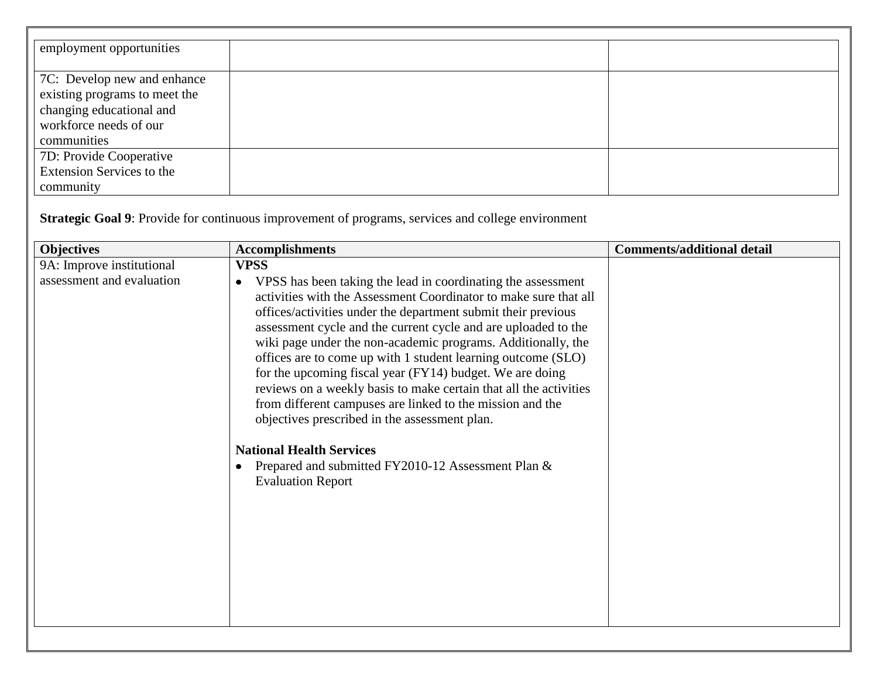| employment opportunities         |  |
|----------------------------------|--|
|                                  |  |
| 7C: Develop new and enhance      |  |
| existing programs to meet the    |  |
| changing educational and         |  |
| workforce needs of our           |  |
| communities                      |  |
| 7D: Provide Cooperative          |  |
| <b>Extension Services to the</b> |  |
| community                        |  |

**Strategic Goal 9**: Provide for continuous improvement of programs, services and college environment